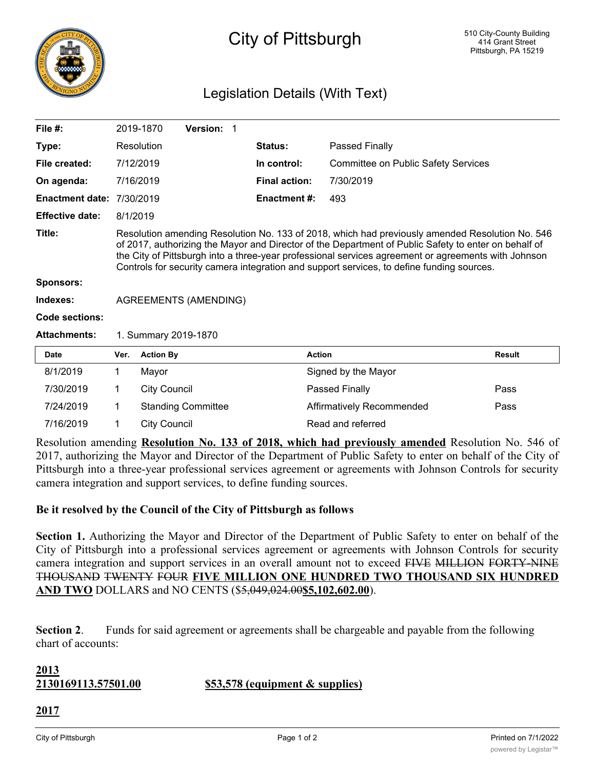

## City of Pittsburgh

### Legislation Details (With Text)

| File #:                |                                                                                                                                                                                                                                                                                                                                                                                                             | 2019-1870           | Version: 1                |  |                      |                                            |               |
|------------------------|-------------------------------------------------------------------------------------------------------------------------------------------------------------------------------------------------------------------------------------------------------------------------------------------------------------------------------------------------------------------------------------------------------------|---------------------|---------------------------|--|----------------------|--------------------------------------------|---------------|
| Type:                  |                                                                                                                                                                                                                                                                                                                                                                                                             | <b>Resolution</b>   |                           |  | Status:              | Passed Finally                             |               |
| File created:          |                                                                                                                                                                                                                                                                                                                                                                                                             | 7/12/2019           |                           |  | In control:          | <b>Committee on Public Safety Services</b> |               |
| On agenda:             |                                                                                                                                                                                                                                                                                                                                                                                                             | 7/16/2019           |                           |  | <b>Final action:</b> | 7/30/2019                                  |               |
| <b>Enactment date:</b> |                                                                                                                                                                                                                                                                                                                                                                                                             | 7/30/2019           |                           |  | <b>Enactment #:</b>  | 493                                        |               |
| <b>Effective date:</b> | 8/1/2019                                                                                                                                                                                                                                                                                                                                                                                                    |                     |                           |  |                      |                                            |               |
| Title:                 | Resolution amending Resolution No. 133 of 2018, which had previously amended Resolution No. 546<br>of 2017, authorizing the Mayor and Director of the Department of Public Safety to enter on behalf of<br>the City of Pittsburgh into a three-year professional services agreement or agreements with Johnson<br>Controls for security camera integration and support services, to define funding sources. |                     |                           |  |                      |                                            |               |
| <b>Sponsors:</b>       |                                                                                                                                                                                                                                                                                                                                                                                                             |                     |                           |  |                      |                                            |               |
| Indexes:               | <b>AGREEMENTS (AMENDING)</b>                                                                                                                                                                                                                                                                                                                                                                                |                     |                           |  |                      |                                            |               |
| Code sections:         |                                                                                                                                                                                                                                                                                                                                                                                                             |                     |                           |  |                      |                                            |               |
| <b>Attachments:</b>    | 1. Summary 2019-1870                                                                                                                                                                                                                                                                                                                                                                                        |                     |                           |  |                      |                                            |               |
| <b>Date</b>            | Ver.                                                                                                                                                                                                                                                                                                                                                                                                        | <b>Action By</b>    |                           |  |                      | <b>Action</b>                              | <b>Result</b> |
| 8/1/2019               | 1                                                                                                                                                                                                                                                                                                                                                                                                           | Mayor               |                           |  |                      | Signed by the Mayor                        |               |
| 7/30/2019              | 1                                                                                                                                                                                                                                                                                                                                                                                                           | <b>City Council</b> |                           |  |                      | Passed Finally                             | Pass          |
| 7/24/2019              | 1                                                                                                                                                                                                                                                                                                                                                                                                           |                     | <b>Standing Committee</b> |  |                      | Affirmatively Recommended                  | Pass          |
| 7/16/2019              | 1                                                                                                                                                                                                                                                                                                                                                                                                           | <b>City Council</b> |                           |  |                      | Read and referred                          |               |

Resolution amending **Resolution No. 133 of 2018, which had previously amended** Resolution No. 546 of 2017, authorizing the Mayor and Director of the Department of Public Safety to enter on behalf of the City of Pittsburgh into a three-year professional services agreement or agreements with Johnson Controls for security camera integration and support services, to define funding sources.

#### **Be it resolved by the Council of the City of Pittsburgh as follows**

**Section 1.** Authorizing the Mayor and Director of the Department of Public Safety to enter on behalf of the City of Pittsburgh into a professional services agreement or agreements with Johnson Controls for security camera integration and support services in an overall amount not to exceed FIVE MILLION FORTY-NINE THOUSAND TWENTY FOUR **FIVE MILLION ONE HUNDRED TWO THOUSAND SIX HUNDRED AND TWO** DOLLARS and NO CENTS (\$5,049,024.00**\$5,102,602.00**).

**Section 2**. Funds for said agreement or agreements shall be chargeable and payable from the following chart of accounts:

# **2013**

**2130169113.57501.00 \$53,578 (equipment & supplies)**

**2017**